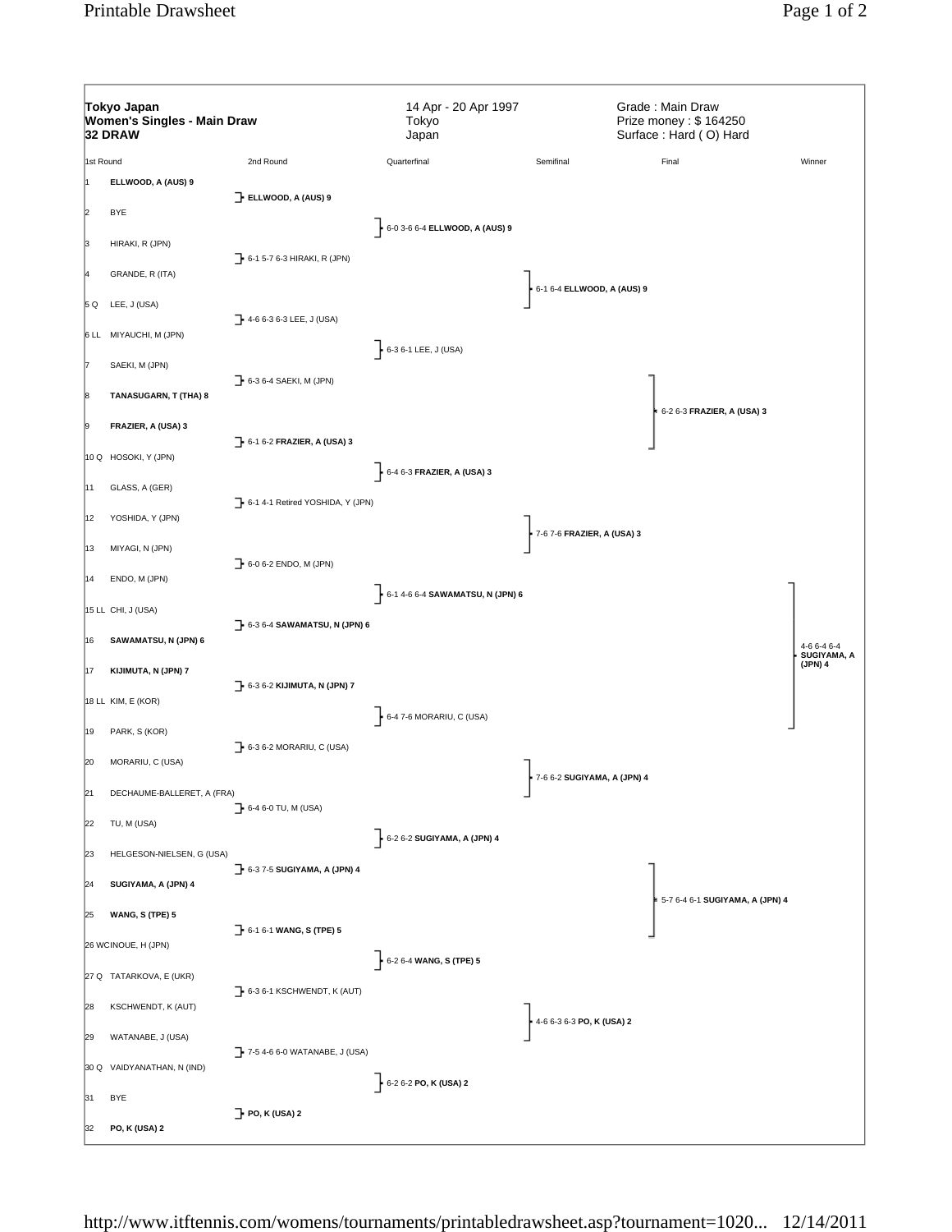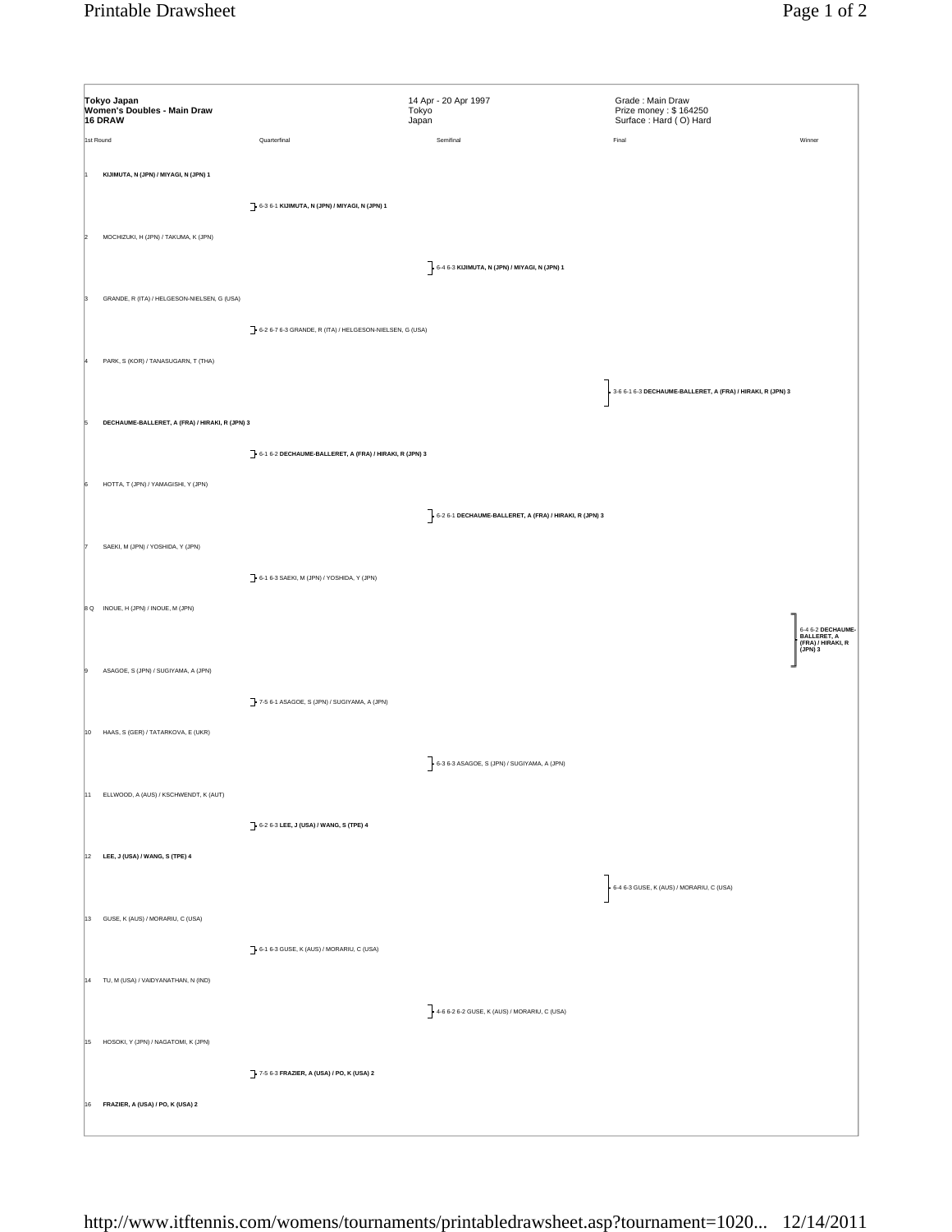| Tokyo Japan<br>Women's Doubles - Main Draw<br>16 DRAW |                                                         | 14 Apr - 20 Apr 1997<br>Tokyo<br>Japan                   | Grade: Main Draw<br>Prize money: \$164250<br>Surface: Hard (O) Hard |                                                                      |
|-------------------------------------------------------|---------------------------------------------------------|----------------------------------------------------------|---------------------------------------------------------------------|----------------------------------------------------------------------|
| 1st Round                                             | Quarterfinal                                            | Semifinal                                                | Final                                                               | Winner                                                               |
| KIJIMUTA, N (JPN) / MIYAGI, N (JPN) 1                 |                                                         |                                                          |                                                                     |                                                                      |
| MOCHIZUKI, H (JPN) / TAKUMA, K (JPN)                  | 6-3 6-1 KIJIMUTA, N (JPN) / MIYAGI, N (JPN) 1           |                                                          |                                                                     |                                                                      |
|                                                       |                                                         |                                                          |                                                                     |                                                                      |
|                                                       |                                                         | $\bigg]$ - 6-4 6-3 KIJIMUTA, N (JPN) / MIYAGI, N (JPN) 1 |                                                                     |                                                                      |
| GRANDE, R (ITA) / HELGESON-NIELSEN, G (USA)           |                                                         |                                                          |                                                                     |                                                                      |
|                                                       | 6-2 6-7 6-3 GRANDE, R (ITA) / HELGESON-NIELSEN, G (USA) |                                                          |                                                                     |                                                                      |
| PARK, S (KOR) / TANASUGARN, T (THA)                   |                                                         |                                                          |                                                                     |                                                                      |
|                                                       |                                                         |                                                          | 3-6 6-1 6-3 DECHAUME-BALLERET, A (FRA) / HIRAKI, R (JPN) 3          |                                                                      |
| DECHAUME-BALLERET, A (FRA) / HIRAKI, R (JPN) 3        |                                                         |                                                          |                                                                     |                                                                      |
|                                                       |                                                         |                                                          |                                                                     |                                                                      |
|                                                       | 6-1 6-2 DECHAUME-BALLERET, A (FRA) / HIRAKI, R (JPN) 3  |                                                          |                                                                     |                                                                      |
| HOTTA, T (JPN) / YAMAGISHI, Y (JPN)                   |                                                         |                                                          |                                                                     |                                                                      |
|                                                       |                                                         | 6-2 6-1 DECHAUME-BALLERET, A (FRA) / HIRAKI, R (JPN) 3   |                                                                     |                                                                      |
| SAEKI, M (JPN) / YOSHIDA, Y (JPN)                     |                                                         |                                                          |                                                                     |                                                                      |
|                                                       | 6-1 6-3 SAEKI, M (JPN) / YOSHIDA, Y (JPN)               |                                                          |                                                                     |                                                                      |
| 8 Q INOUE, H (JPN) / INOUE, M (JPN)                   |                                                         |                                                          |                                                                     |                                                                      |
|                                                       |                                                         |                                                          |                                                                     |                                                                      |
|                                                       |                                                         |                                                          |                                                                     | 6-4 6-2 DECHAUME-<br>  BALLERET, A<br>  (FRA) / HIRAKI, R<br>(JPN) 3 |
| ASAGOE, S (JPN) / SUGIYAMA, A (JPN)                   |                                                         |                                                          |                                                                     |                                                                      |
|                                                       | 7-5 6-1 ASAGOE, S (JPN) / SUGIYAMA, A (JPN)             |                                                          |                                                                     |                                                                      |
| 10 HAAS, S (GER) / TATARKOVA, E (UKR)                 |                                                         |                                                          |                                                                     |                                                                      |
|                                                       |                                                         | 6-3 6-3 ASAGOE, S (JPN) / SUGIYAMA, A (JPN)              |                                                                     |                                                                      |
| 11 ELLWOOD, A (AUS) / KSCHWENDT, K (AUT)              |                                                         |                                                          |                                                                     |                                                                      |
|                                                       | 6-2 6-3 LEE, J (USA) / WANG, S (TPE) 4                  |                                                          |                                                                     |                                                                      |
|                                                       |                                                         |                                                          |                                                                     |                                                                      |
| 12 LEE, J (USA) / WANG, S (TPE) 4                     |                                                         |                                                          |                                                                     |                                                                      |
|                                                       |                                                         |                                                          | 6-4 6-3 GUSE, K (AUS) / MORARIU, C (USA)                            |                                                                      |
| 13 GUSE, K (AUS) / MORARIU, C (USA)                   |                                                         |                                                          |                                                                     |                                                                      |
|                                                       | 6-1 6-3 GUSE, K (AUS) / MORARIU, C (USA)                |                                                          |                                                                     |                                                                      |
| 14 TU, M (USA) / VAIDYANATHAN, N (IND)                |                                                         |                                                          |                                                                     |                                                                      |
|                                                       |                                                         | $-$ 4-6 6-2 6-2 GUSE, K (AUS) / MORARIU, C (USA)         |                                                                     |                                                                      |
| 15 HOSOKI, Y (JPN) / NAGATOMI, K (JPN)                |                                                         |                                                          |                                                                     |                                                                      |
|                                                       |                                                         |                                                          |                                                                     |                                                                      |
|                                                       | 7-5 6-3 FRAZIER, A (USA) / PO, K (USA) 2                |                                                          |                                                                     |                                                                      |
| 16 FRAZIER, A (USA) / PO, K (USA) 2                   |                                                         |                                                          |                                                                     |                                                                      |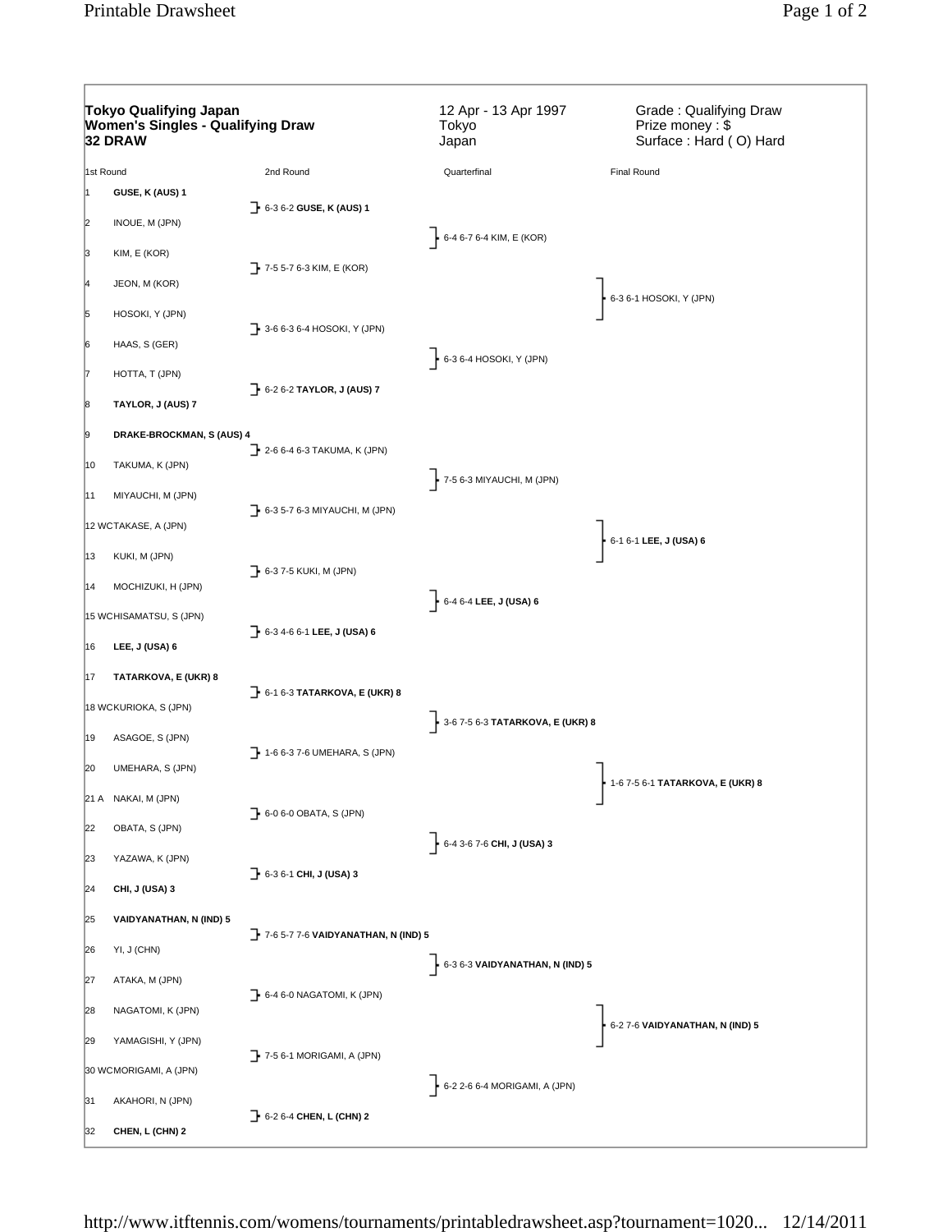